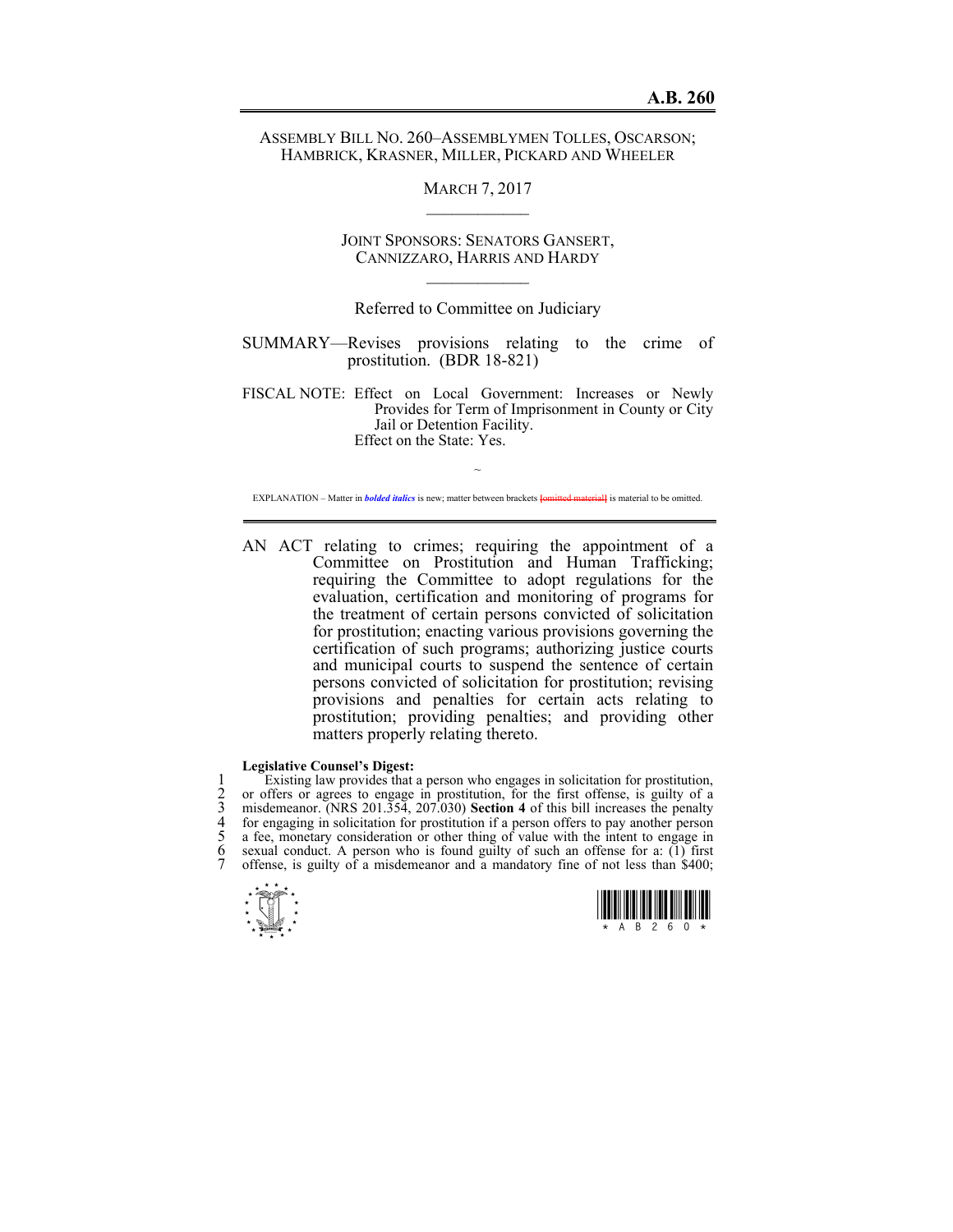# ASSEMBLY BILL NO. 260–ASSEMBLYMEN TOLLES, OSCARSON; HAMBRICK, KRASNER, MILLER, PICKARD AND WHEELER

### MARCH 7, 2017  $\mathcal{L}_\text{max}$

JOINT SPONSORS: SENATORS GANSERT, CANNIZZARO, HARRIS AND HARDY  $\mathcal{L}_\text{max}$ 

# Referred to Committee on Judiciary

SUMMARY—Revises provisions relating to the crime of prostitution. (BDR 18-821)

FISCAL NOTE: Effect on Local Government: Increases or Newly Provides for Term of Imprisonment in County or City Jail or Detention Facility. Effect on the State: Yes.

~ EXPLANATION – Matter in *bolded italics* is new; matter between brackets **[**omitted material**]** is material to be omitted.

AN ACT relating to crimes; requiring the appointment of a Committee on Prostitution and Human Trafficking; requiring the Committee to adopt regulations for the evaluation, certification and monitoring of programs for the treatment of certain persons convicted of solicitation for prostitution; enacting various provisions governing the certification of such programs; authorizing justice courts and municipal courts to suspend the sentence of certain persons convicted of solicitation for prostitution; revising provisions and penalties for certain acts relating to prostitution; providing penalties; and providing other matters properly relating thereto.

### **Legislative Counsel's Digest:**

1 Existing law provides that a person who engages in solicitation for prostitution,<br>2 or offers or agrees to engage in prostitution, for the first offense, is guilty of a<br>3 misdemeanor. (NRS 201.354, 207.030) **Section 4** o 2 or offers or agrees to engage in prostitution, for the first offense, is guilty of a 3 misdemeanor. (NRS 201.354, 207.030) **Section 4** of this bill increases the penalty for engaging in solicitation for prostitution if a person offers to pay another person a fee, monetary consideration or other thing of value with the intent to engage in sexual conduct. A person who is found guilty of such an offense for a:  $(1)$  first offense, is guilty of a misdemeanor and a mandatory fine of not less than \$400;



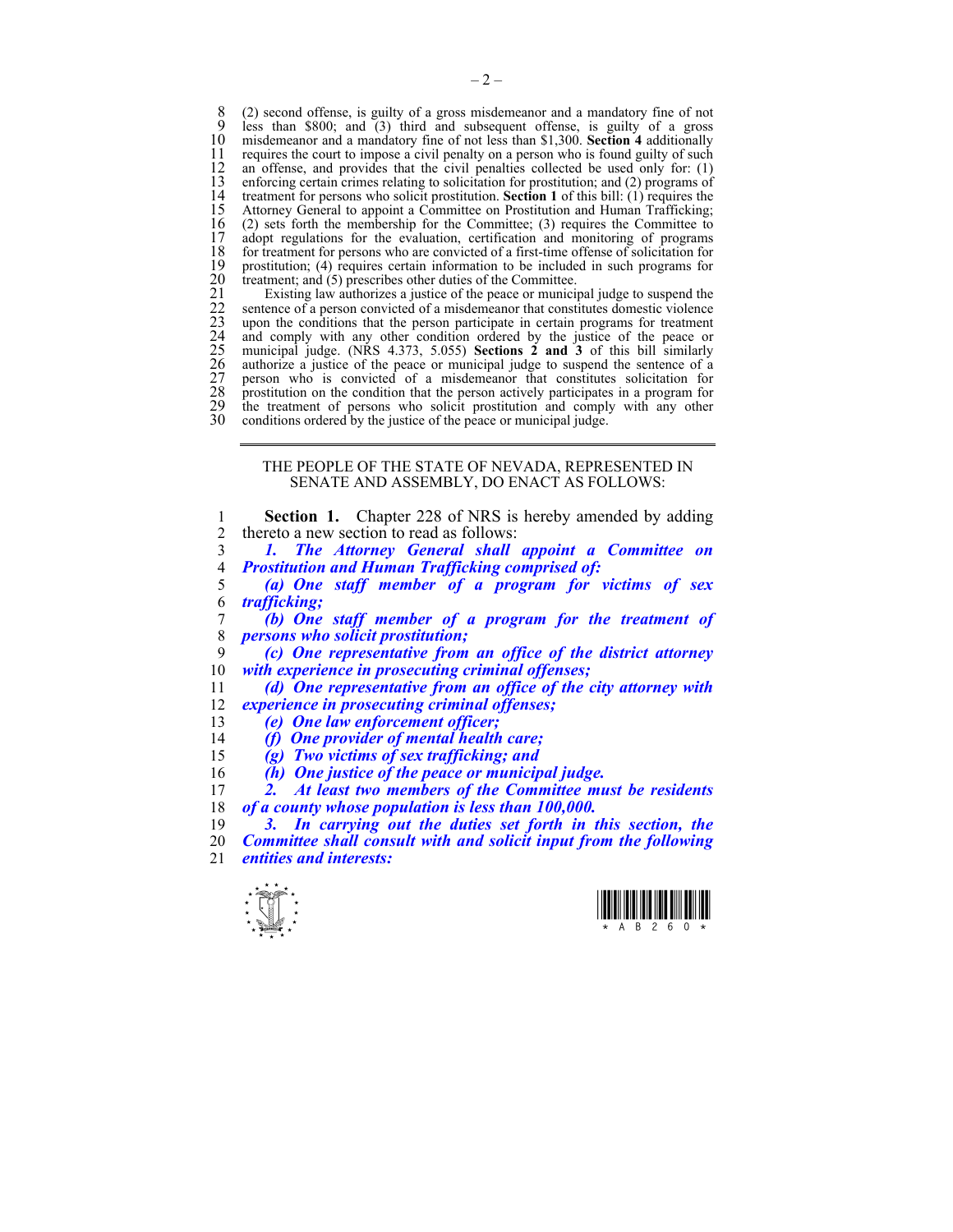8 (2) second offense, is guilty of a gross misdemeanor and a mandatory fine of not  $\frac{9}{2}$  less than \$800; and (3) third and subsequent offense is guilty of a gross 9 less than \$800; and (3) third and subsequent offense, is guilty of a gross 10 misdemeanor and a mandatory fine of not less than \$1.300. **Section 4** additionally 10 misdemeanor and a mandatory fine of not less than \$1,300. **Section 4** additionally 11 requires the court to impose a civil penalty on a person who is found guilty of such 12 an offense, and provides that the civil penalties collected be used only for: (1) 12 an offense, and provides that the civil penalties collected be used only for: (1) enforcing certain crimes relating to solicitation for prostitution: and (2) programs of 13 enforcing certain crimes relating to solicitation for prostitution; and (2) programs of 14 treatment for persons who solicit prostitution. **Section 1** of this bill: (1) requires the 14 treatment for persons who solicit prostitution. **Section 1** of this bill: (1) requires the 15 Attorney General to appoint a Committee on Prostitution and Human Trafficking; 16 (2) sets forth the membership for the Committee; (3) requires the Committee to adopt regulations for the evaluation, certification and monitoring of programs 17 adopt regulations for the evaluation, certification and monitoring of programs 18 for treatment for persons who are convicted of a first-time offense of solicitation for 18 for treatment for persons who are convicted of a first-time offense of solicitation for prostitution; (4) requires certain information to be included in such programs for 19 prostitution; (4) requires certain information to be included in such programs for treatment; and (5) prescribes other duties of the Committee.

20 treatment; and (5) prescribes other duties of the Committee.<br>
21 Existing law authorizes a justice of the peace or munici<br>
22 sentence of a person convicted of a misdemeanor that const<br>
23 upon the conditions that the p Existing law authorizes a justice of the peace or municipal judge to suspend the 22 sentence of a person convicted of a misdemeanor that constitutes domestic violence upon the conditions that the person participate in certain programs for treatment 24 and comply with any other condition ordered by the justice of the peace or 25 municipal judge. (NRS 4.373, 5.055) **Sections 2 and 3** of this bill similarly 26 authorize a justice of the peace or municipal judge to suspend the sentence of a 27 person who is convicted of a misdemeanor that constitutes solicitation for prostitution on the condition that the person actively participates in a program for 29 the treatment of persons who solicit prostitution and comply with any other conditions ordered by the justice of the peace or municipal judge. conditions ordered by the justice of the peace or municipal judge.

### THE PEOPLE OF THE STATE OF NEVADA, REPRESENTED IN SENATE AND ASSEMBLY, DO ENACT AS FOLLOWS:

**Section 1.** Chapter 228 of NRS is hereby amended by adding 2 thereto a new section to read as follows: *1. The Attorney General shall appoint a Committee on Prostitution and Human Trafficking comprised of: (a) One staff member of a program for victims of sex trafficking; (b) One staff member of a program for the treatment of persons who solicit prostitution; (c) One representative from an office of the district attorney with experience in prosecuting criminal offenses; (d) One representative from an office of the city attorney with experience in prosecuting criminal offenses; (e) One law enforcement officer; (f) One provider of mental health care; (g) Two victims of sex trafficking; and (h) One justice of the peace or municipal judge. 2. At least two members of the Committee must be residents of a county whose population is less than 100,000. 3. In carrying out the duties set forth in this section, the* 

20 *Committee shall consult with and solicit input from the following*  21 *entities and interests:* 



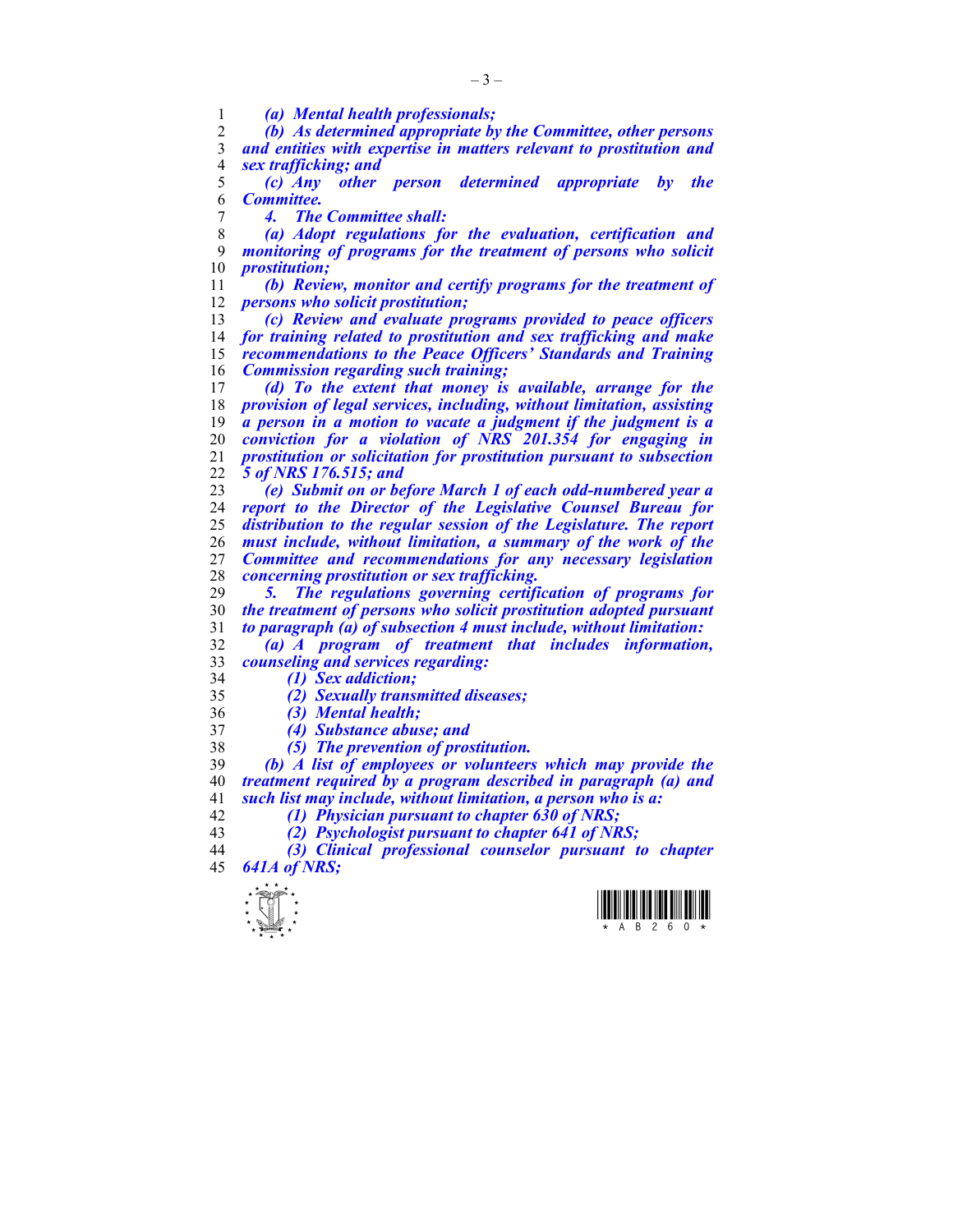*(a) Mental health professionals;* 

*(b) As determined appropriate by the Committee, other persons and entities with expertise in matters relevant to prostitution and sex trafficking; and* 

*(c) Any other person determined appropriate by the Committee.* 

*4. The Committee shall:* 

*(a) Adopt regulations for the evaluation, certification and monitoring of programs for the treatment of persons who solicit prostitution;* 

*(b) Review, monitor and certify programs for the treatment of persons who solicit prostitution;* 

*(c) Review and evaluate programs provided to peace officers for training related to prostitution and sex trafficking and make recommendations to the Peace Officers' Standards and Training Commission regarding such training;* 

*(d) To the extent that money is available, arrange for the provision of legal services, including, without limitation, assisting a person in a motion to vacate a judgment if the judgment is a conviction for a violation of NRS 201.354 for engaging in prostitution or solicitation for prostitution pursuant to subsection 5 of NRS 176.515; and* 

*(e) Submit on or before March 1 of each odd-numbered year a report to the Director of the Legislative Counsel Bureau for distribution to the regular session of the Legislature. The report must include, without limitation, a summary of the work of the Committee and recommendations for any necessary legislation concerning prostitution or sex trafficking.* 

*5. The regulations governing certification of programs for the treatment of persons who solicit prostitution adopted pursuant to paragraph (a) of subsection 4 must include, without limitation:* 

- *(a) A program of treatment that includes information, counseling and services regarding:*
- *(1) Sex addiction;*

*(2) Sexually transmitted diseases;* 

- *(3) Mental health;*
- *(4) Substance abuse; and*
- *(5) The prevention of prostitution.*

*(b) A list of employees or volunteers which may provide the treatment required by a program described in paragraph (a) and such list may include, without limitation, a person who is a: (1) Physician pursuant to chapter 630 of NRS;* 

- 
- *(2) Psychologist pursuant to chapter 641 of NRS;*

*(3) Clinical professional counselor pursuant to chapter 641A of NRS;* 



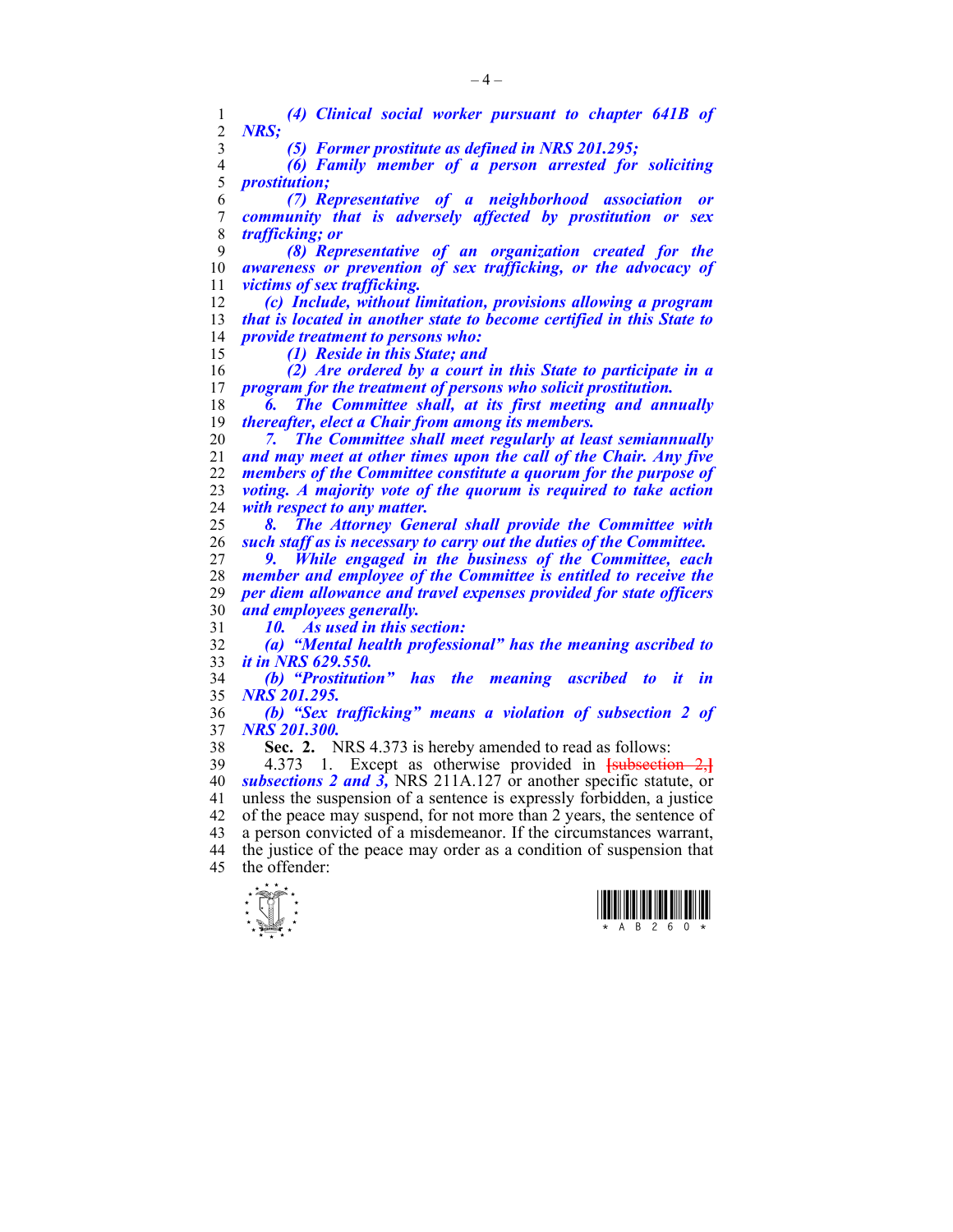| 1              | (4) Clinical social worker pursuant to chapter 641B of                |
|----------------|-----------------------------------------------------------------------|
| $\overline{2}$ | <b>NRS:</b>                                                           |
| 3              | (5) Former prostitute as defined in NRS 201.295;                      |
| $\overline{4}$ | (6) Family member of a person arrested for soliciting                 |
| 5              | <i>prostitution;</i>                                                  |
| 6              | (7) Representative of a neighborhood association<br><b>or</b>         |
| $\overline{7}$ | community that is adversely affected by prostitution or<br><b>sex</b> |
| 8              | <i>trafficking; or</i>                                                |
| 9              | (8) Representative of an organization created for the                 |
| 10             | awareness or prevention of sex trafficking, or the advocacy of        |
| 11             | victims of sex trafficking.                                           |
| 12             | (c) Include, without limitation, provisions allowing a program        |
| 13             | that is located in another state to become certified in this State to |
| 14             | <i>provide treatment to persons who:</i>                              |
| 15             | (1) Reside in this State; and                                         |
| 16             | (2) Are ordered by a court in this State to participate in a          |
| 17             | program for the treatment of persons who solicit prostitution.        |
| 18             | The Committee shall, at its first meeting and annually<br>6.          |
| 19             | thereafter, elect a Chair from among its members.                     |
| 20             | The Committee shall meet regularly at least semiannually              |
| 21             | and may meet at other times upon the call of the Chair. Any five      |
| 22             | members of the Committee constitute a quorum for the purpose of       |
| 23             | voting. A majority vote of the quorum is required to take action      |
| 24             | with respect to any matter.                                           |
| 25             | The Attorney General shall provide the Committee with<br>8.           |
| 26             | such staff as is necessary to carry out the duties of the Committee.  |
| 27             | While engaged in the business of the Committee, each<br>9. .          |
| 28             | member and employee of the Committee is entitled to receive the       |
| 29             | per diem allowance and travel expenses provided for state officers    |
| 30             | and employees generally.                                              |
| 31             | 10. As used in this section:                                          |
| 32             | (a) "Mental health professional" has the meaning ascribed to          |
| 33             | <i>it in NRS 629.550.</i>                                             |
| 34             | (b) "Prostitution" has the meaning ascribed to it<br>$\dot{i}n$       |
| 35             | NRS 201.295.                                                          |
| 36             | (b) "Sex trafficking" means a violation of subsection 2 of            |
| 37             | <b>NRS 201.300.</b>                                                   |
| 38             | Sec. 2. NRS 4.373 is hereby amended to read as follows:               |
| 39             | 1. Except as otherwise provided in $\frac{1}{1}$<br>4.373             |
| 40             | subsections 2 and 3, NRS 211A.127 or another specific statute, or     |
| 41             | unless the suspension of a sentence is expressly forbidden, a justice |
| 42             | of the peace may suspend, for not more than 2 years, the sentence of  |
| 43             | a person convicted of a misdemeanor. If the circumstances warrant,    |
| 44             | the justice of the peace may order as a condition of suspension that  |

45 the offender:



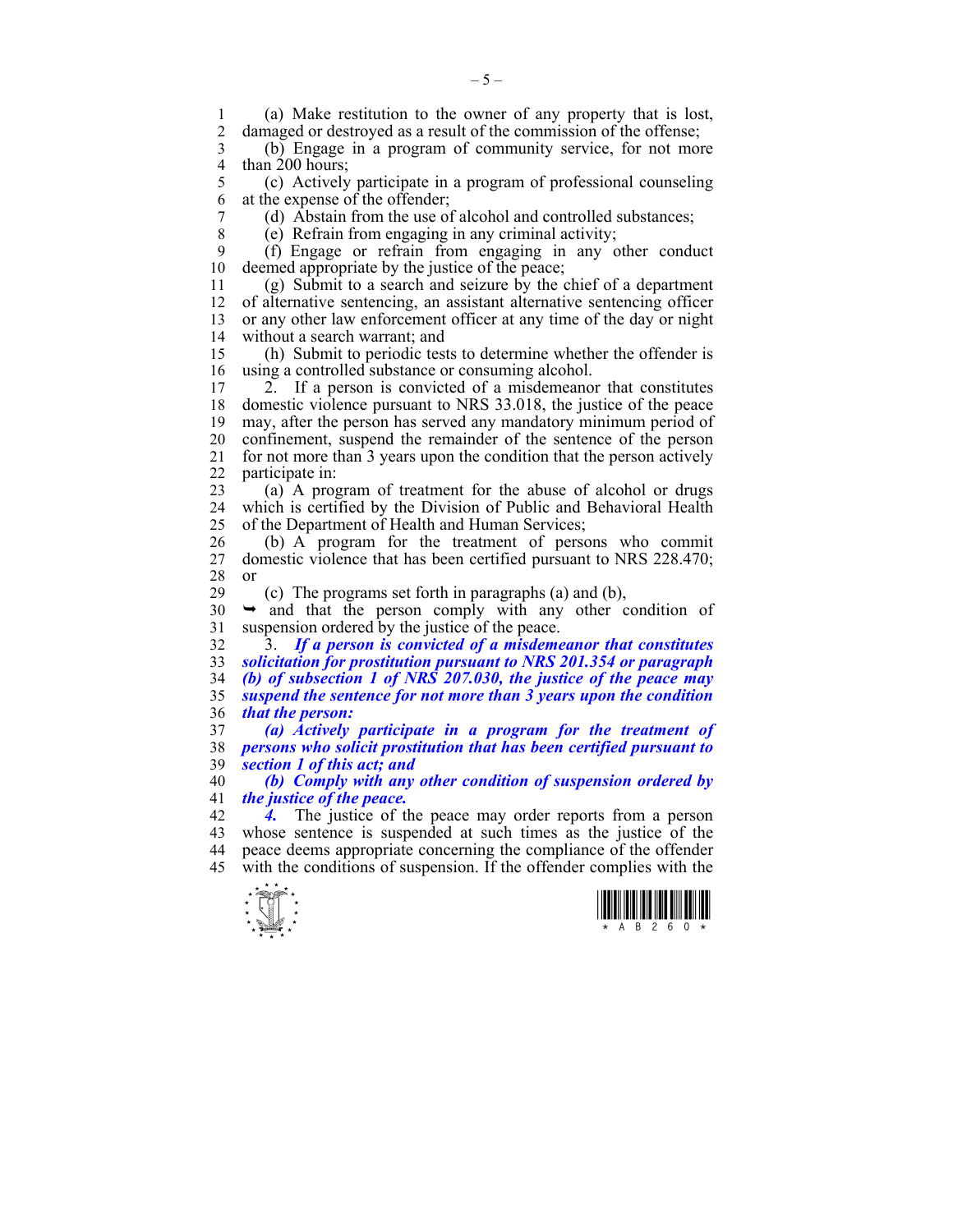1 (a) Make restitution to the owner of any property that is lost, damaged or destroyed as a result of the commission of the offense;

3 (b) Engage in a program of community service, for not more 4 than 200 hours;<br>5 (c) Actively

5 (c) Actively participate in a program of professional counseling 6 at the expense of the offender;

7 (d) Abstain from the use of alcohol and controlled substances;

8 (e) Refrain from engaging in any criminal activity;

9 (f) Engage or refrain from engaging in any other conduct deemed appropriate by the justice of the peace;

11 (g) Submit to a search and seizure by the chief of a department 12 of alternative sentencing, an assistant alternative sentencing officer 13 or any other law enforcement officer at any time of the day or night 14 without a search warrant; and

15 (h) Submit to periodic tests to determine whether the offender is 16 using a controlled substance or consuming alcohol.<br>17 2 If a person is convicted of a misdemeano

2. If a person is convicted of a misdemeanor that constitutes 18 domestic violence pursuant to NRS 33.018, the justice of the peace 19 may, after the person has served any mandatory minimum period of 20 confinement, suspend the remainder of the sentence of the person 21 for not more than 3 years upon the condition that the person actively 22 participate in:

23 (a) A program of treatment for the abuse of alcohol or drugs 24 which is certified by the Division of Public and Behavioral Health 25 of the Department of Health and Human Services;

26 (b) A program for the treatment of persons who commit 27 domestic violence that has been certified pursuant to NRS 228.470; 28 or

29 (c) The programs set forth in paragraphs (a) and (b),

 $30 \rightarrow$  and that the person comply with any other condition of 31 suspension ordered by the justice of the peace.

32 3. *If a person is convicted of a misdemeanor that constitutes solicitation for prostitution pursuant to NRS 201.354 or paragraph (b) of subsection 1 of NRS 207.030, the justice of the peace may suspend the sentence for not more than 3 years upon the condition that the person:* 

37 *(a) Actively participate in a program for the treatment of*  38 *persons who solicit prostitution that has been certified pursuant to*  39 *section 1 of this act; and* 

40 *(b) Comply with any other condition of suspension ordered by*  41 *the justice of the peace.* 

42 *4.* The justice of the peace may order reports from a person 43 whose sentence is suspended at such times as the justice of the 44 peace deems appropriate concerning the compliance of the offender 45 with the conditions of suspension. If the offender complies with the



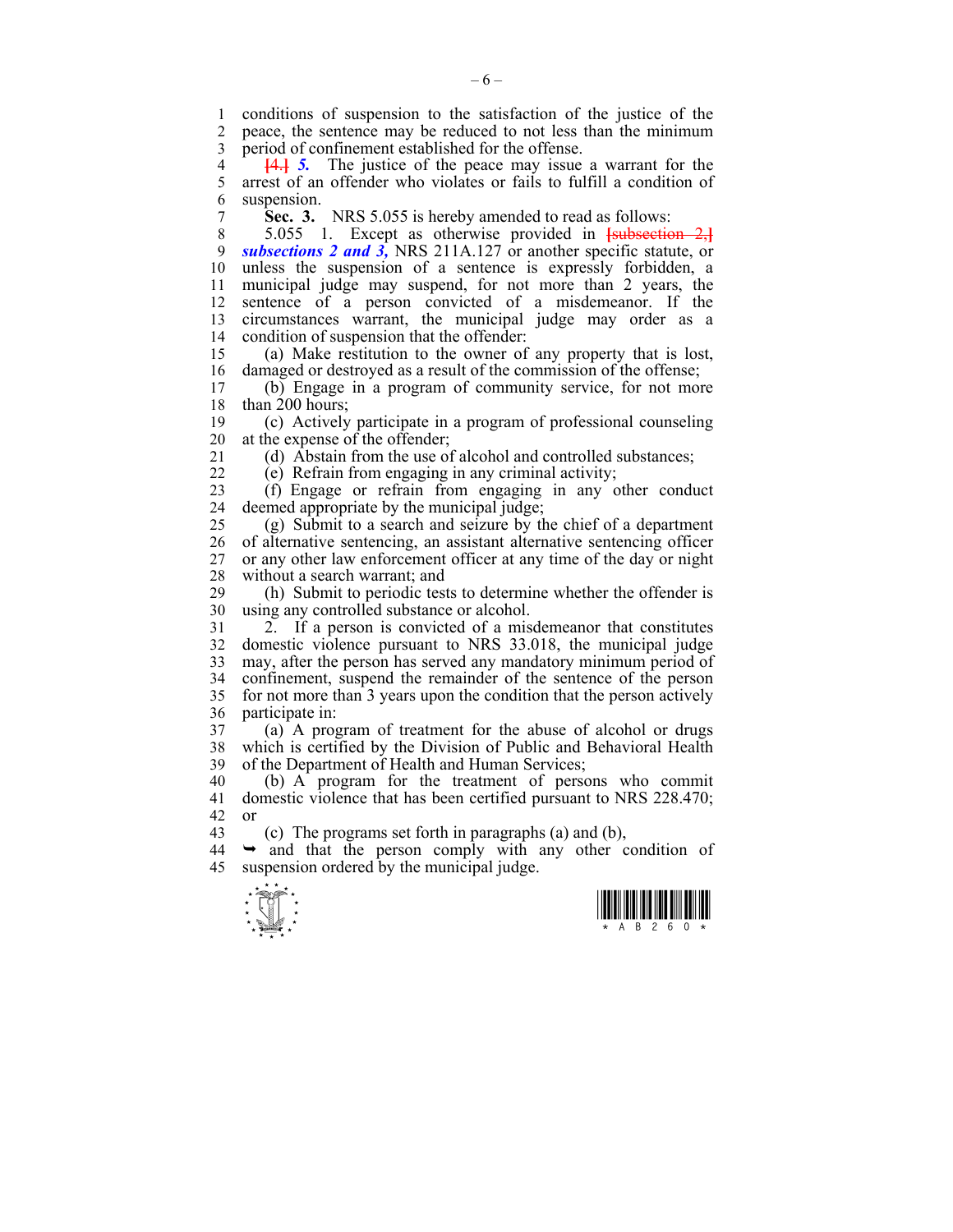1 conditions of suspension to the satisfaction of the justice of the 2 neace the sentence may be reduced to not less than the minimum 2 peace, the sentence may be reduced to not less than the minimum 3 period of confinement established for the offense.

4 **[4.] 5.** The justice of the peace may issue a warrant for the 5 arrest of an offender who violates or fails to fulfill a condition of 5 arrest of an offender who violates or fails to fulfill a condition of 6 suspension.

7 **Sec. 3.** NRS 5.055 is hereby amended to read as follows:

8 5.055 1. Except as otherwise provided in **[**subsection 2,**]** 9 *subsections 2 and 3,* NRS 211A.127 or another specific statute, or 10 unless the suspension of a sentence is expressly forbidden, a 11 municipal judge may suspend, for not more than 2 years, the 12 sentence of a person convicted of a misdemeanor. If the 13 circumstances warrant, the municipal judge may order as a 14 condition of suspension that the offender:

15 (a) Make restitution to the owner of any property that is lost, 16 damaged or destroyed as a result of the commission of the offense;<br>17 (b) Engage in a program of community service for not more

 $(b)$  Engage in a program of community service, for not more 18 than 200 hours;

19 (c) Actively participate in a program of professional counseling 20 at the expense of the offender;

- 
- 

21 (d) Abstain from the use of alcohol and controlled substances; 22 (e) Refrain from engaging in any criminal activity;

23 (f) Engage or refrain from engaging in any other conduct 24 deemed appropriate by the municipal judge;

25 (g) Submit to a search and seizure by the chief of a department 26 of alternative sentencing, an assistant alternative sentencing officer 27 or any other law enforcement officer at any time of the day or night 28 without a search warrant; and

29 (h) Submit to periodic tests to determine whether the offender is 30 using any controlled substance or alcohol.

31 2. If a person is convicted of a misdemeanor that constitutes 32 domestic violence pursuant to NRS 33.018, the municipal judge 33 may, after the person has served any mandatory minimum period of 34 confinement, suspend the remainder of the sentence of the person 35 for not more than 3 years upon the condition that the person actively 36 participate in:

37 (a) A program of treatment for the abuse of alcohol or drugs 38 which is certified by the Division of Public and Behavioral Health 39 of the Department of Health and Human Services;

40 (b) A program for the treatment of persons who commit 41 domestic violence that has been certified pursuant to NRS 228.470; 42 or

43 (c) The programs set forth in paragraphs (a) and (b),

 $44 \rightarrow$  and that the person comply with any other condition of 45 suspension ordered by the municipal judge.



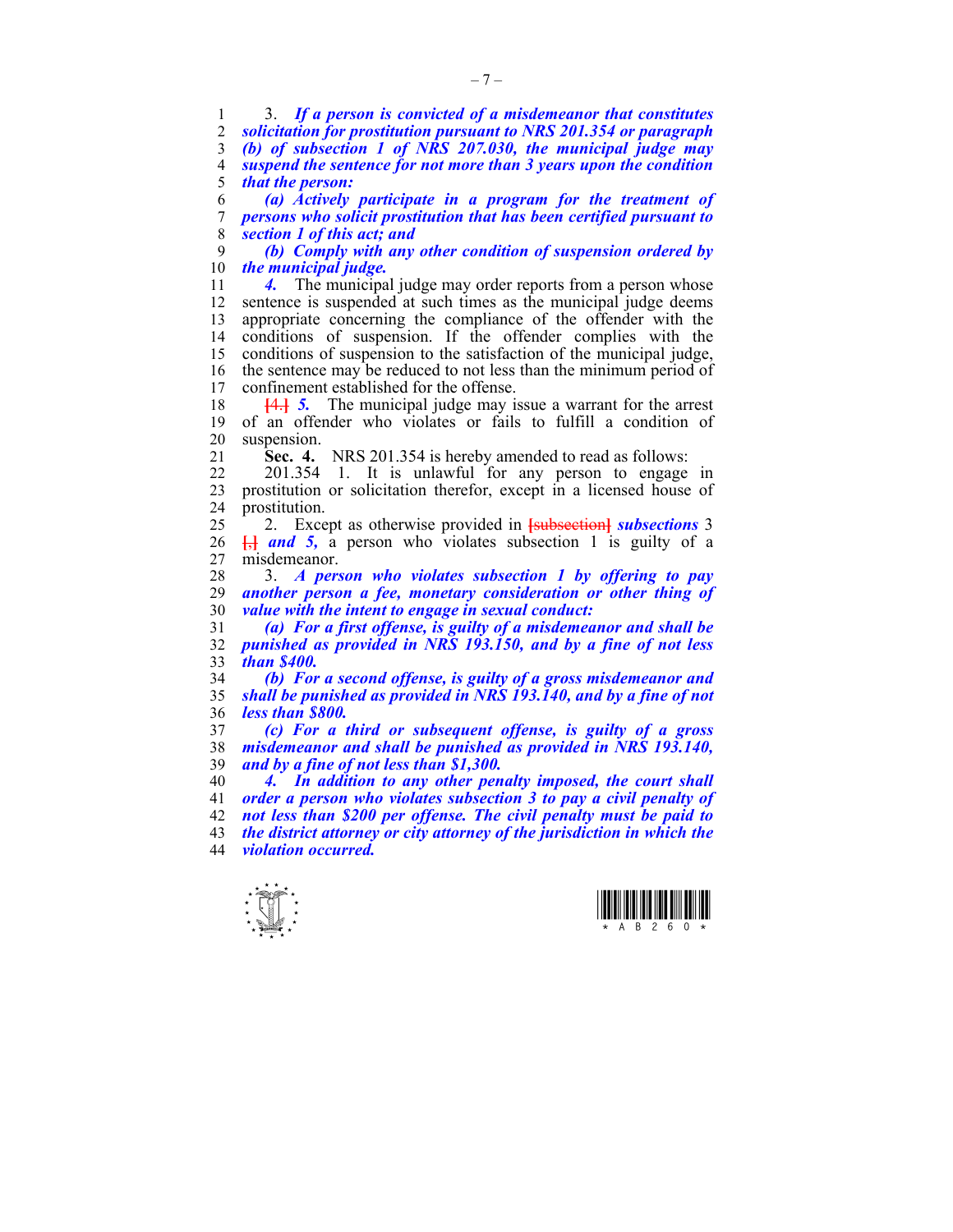1 3. *If a person is convicted of a misdemeanor that constitutes solicitation for prostitution pursuant to NRS 201.354 or paragraph (b) of subsection 1 of NRS 207.030, the municipal judge may suspend the sentence for not more than 3 years upon the condition that the person:* 

6 *(a) Actively participate in a program for the treatment of*  7 *persons who solicit prostitution that has been certified pursuant to*  8 *section 1 of this act; and* 

9 *(b) Comply with any other condition of suspension ordered by the municipal judge.* 

11 *4.* The municipal judge may order reports from a person whose 12 sentence is suspended at such times as the municipal judge deems 13 appropriate concerning the compliance of the offender with the conditions of suspension. If the offender complies with the 15 conditions of suspension to the satisfaction of the municipal judge, 16 the sentence may be reduced to not less than the minimum period of confinement established for the offense confinement established for the offense.

18 **[**4.**]** *5.* The municipal judge may issue a warrant for the arrest 19 of an offender who violates or fails to fulfill a condition of 20 suspension.

21 **Sec. 4.** NRS 201.354 is hereby amended to read as follows:

22 201.354 1. It is unlawful for any person to engage in 23 prostitution or solicitation therefor, except in a licensed house of 24 prostitution.

25 2. Except as otherwise provided in **[**subsection**]** *subsections* 3 26  $\frac{1}{2}$  and 5, a person who violates subsection 1 is guilty of a 27 misdemeanor.

28 3. *A person who violates subsection 1 by offering to pay*  29 *another person a fee, monetary consideration or other thing of*  30 *value with the intent to engage in sexual conduct:* 

31 *(a) For a first offense, is guilty of a misdemeanor and shall be*  32 *punished as provided in NRS 193.150, and by a fine of not less*  33 *than \$400.* 

34 *(b) For a second offense, is guilty of a gross misdemeanor and*  35 *shall be punished as provided in NRS 193.140, and by a fine of not*  36 *less than \$800.* 

37 *(c) For a third or subsequent offense, is guilty of a gross*  38 *misdemeanor and shall be punished as provided in NRS 193.140,*  39 *and by a fine of not less than \$1,300.* 

*4. In addition to any other penalty imposed, the court shall order a person who violates subsection 3 to pay a civil penalty of not less than \$200 per offense. The civil penalty must be paid to the district attorney or city attorney of the jurisdiction in which the violation occurred.*